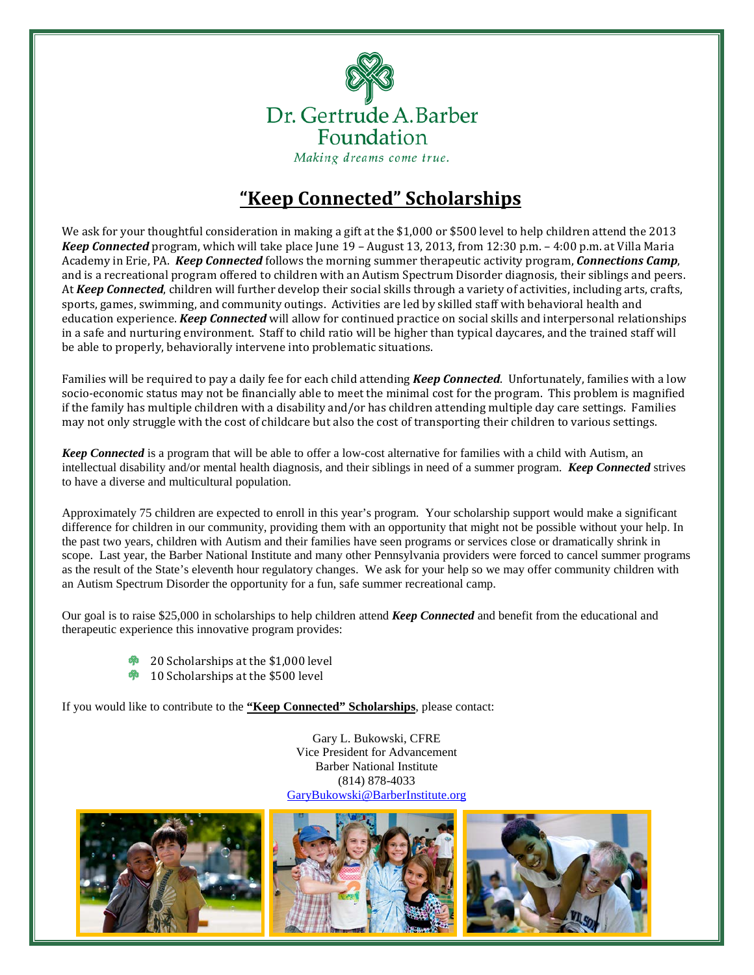

## **"Keep Connected" Scholarships**

We ask for your thoughtful consideration in making a gift at the \$1,000 or \$500 level to help children attend the 2013 *Keep Connected* program, which will take place June 19 – August 13, 2013, from 12:30 p.m. – 4:00 p.m. at Villa Maria Academy in Erie, PA. *Keep Connected* follows the morning summer therapeutic activity program, *Connections Camp*, and is a recreational program offered to children with an Autism Spectrum Disorder diagnosis, their siblings and peers. At *Keep Connected*, children will further develop their social skills through a variety of activities, including arts, crafts, sports, games, swimming, and community outings. Activities are led by skilled staff with behavioral health and education experience. *Keep Connected* will allow for continued practice on social skills and interpersonal relationships in a safe and nurturing environment. Staff to child ratio will be higher than typical daycares, and the trained staff will be able to properly, behaviorally intervene into problematic situations.

Families will be required to pay a daily fee for each child attending *Keep Connected*. Unfortunately, families with a low socio-economic status may not be financially able to meet the minimal cost for the program. This problem is magnified if the family has multiple children with a disability and/or has children attending multiple day care settings. Families may not only struggle with the cost of childcare but also the cost of transporting their children to various settings.

*Keep Connected* is a program that will be able to offer a low-cost alternative for families with a child with Autism, an intellectual disability and/or mental health diagnosis, and their siblings in need of a summer program. *Keep Connected* strives to have a diverse and multicultural population.

Approximately 75 children are expected to enroll in this year's program. Your scholarship support would make a significant difference for children in our community, providing them with an opportunity that might not be possible without your help. In the past two years, children with Autism and their families have seen programs or services close or dramatically shrink in scope. Last year, the Barber National Institute and many other Pennsylvania providers were forced to cancel summer programs as the result of the State's eleventh hour regulatory changes. We ask for your help so we may offer community children with an Autism Spectrum Disorder the opportunity for a fun, safe summer recreational camp.

Our goal is to raise \$25,000 in scholarships to help children attend *Keep Connected* and benefit from the educational and therapeutic experience this innovative program provides:

- 20 Scholarships at the \$1,000 level
- 10 Scholarships at the \$500 level ශී

If you would like to contribute to the **"Keep Connected" Scholarships**, please contact:

Gary L. Bukowski, CFRE Vice President for Advancement Barber National Institute (814) 878-4033 [GaryBukowski@BarberInstitute.org](mailto:GaryBukowski@BarberInstitute.org)